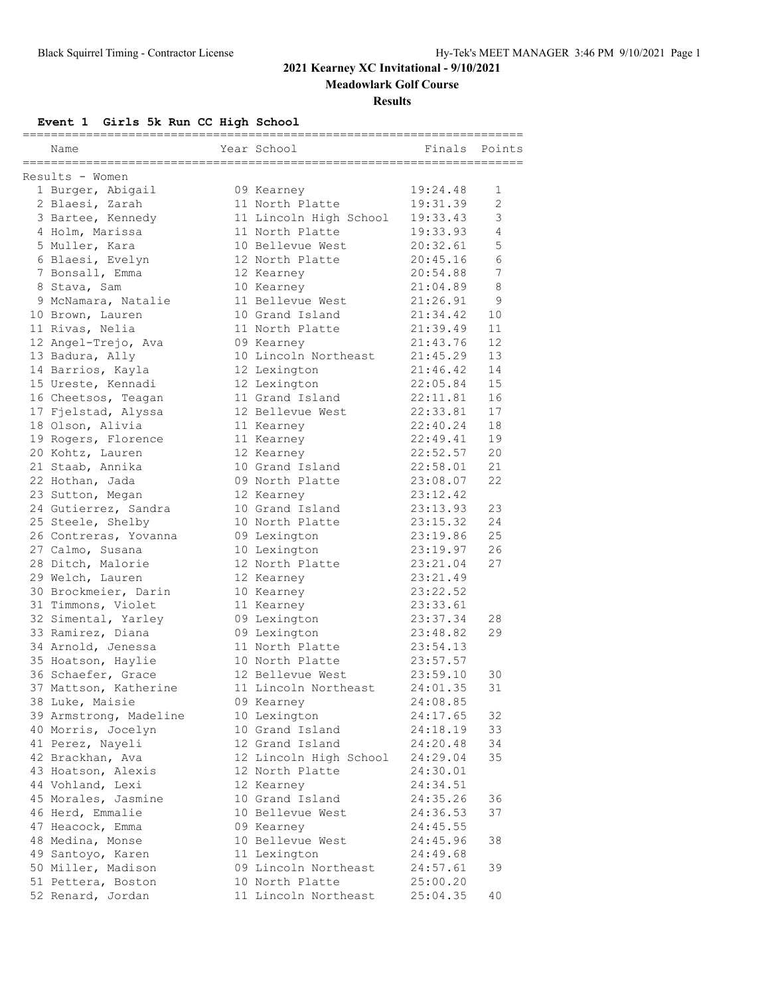**Meadowlark Golf Course**

#### **Results**

## **Event 1 Girls 5k Run CC High School**

|                                         | ==============                     | ========================== |                |
|-----------------------------------------|------------------------------------|----------------------------|----------------|
| Name                                    | Year School                        | Finals                     | Points         |
|                                         |                                    |                            |                |
| Results - Women<br>1 Burger, Abigail    | 09 Kearney                         | 19:24.48                   | 1              |
| 2 Blaesi, Zarah                         | 11 North Platte                    | 19:31.39                   | $\overline{2}$ |
| 3 Bartee, Kennedy                       | 11 Lincoln High School             | 19:33.43                   | 3              |
| 4 Holm, Marissa                         | 11 North Platte                    | 19:33.93                   | $\overline{4}$ |
| 5 Muller, Kara                          | 10 Bellevue West                   | 20:32.61                   | 5              |
|                                         | 12 North Platte                    | 20:45.16                   | 6              |
| 6 Blaesi, Evelyn<br>7 Bonsall, Emma     | 12 Kearney                         | 20:54.88                   | 7              |
| 8 Stava, Sam                            |                                    | 21:04.89                   | 8              |
|                                         | 10 Kearney<br>11 Bellevue West     | 21:26.91                   | 9              |
| 9 McNamara, Natalie<br>10 Brown, Lauren | 10 Grand Island                    | 21:34.42                   | 10             |
| 11 Rivas, Nelia                         | 11 North Platte                    | 21:39.49                   | 11             |
|                                         |                                    | 21:43.76                   | 12             |
| 12 Angel-Trejo, Ava                     | 09 Kearney<br>10 Lincoln Northeast |                            | 13             |
| 13 Badura, Ally                         |                                    | 21:45.29                   | 14             |
| 14 Barrios, Kayla                       | 12 Lexington                       | 21:46.42                   |                |
| 15 Ureste, Kennadi                      | 12 Lexington<br>11 Grand Island    | 22:05.84                   | 15             |
| 16 Cheetsos, Teagan                     |                                    | 22:11.81                   | 16             |
| 17 Fjelstad, Alyssa                     | 12 Bellevue West                   | 22:33.81                   | 17             |
| 18 Olson, Alivia                        | 11 Kearney                         | 22:40.24                   | 18             |
| 19 Rogers, Florence                     | 11 Kearney                         | 22:49.41                   | 19             |
| 20 Kohtz, Lauren                        | 12 Kearney                         | 22:52.57                   | 20             |
| 21 Staab, Annika                        | 10 Grand Island                    | 22:58.01                   | 21             |
| 22 Hothan, Jada                         | 09 North Platte                    | 23:08.07                   | 22             |
| 23 Sutton, Megan                        | 12 Kearney                         | 23:12.42                   |                |
| 24 Gutierrez, Sandra                    | 10 Grand Island                    | 23:13.93                   | 23             |
| 25 Steele, Shelby                       | 10 North Platte                    | 23:15.32                   | 24             |
| 26 Contreras, Yovanna                   | 09 Lexington                       | 23:19.86                   | 25             |
| 27 Calmo, Susana                        | 10 Lexington                       | 23:19.97                   | 26             |
| 28 Ditch, Malorie                       | 12 North Platte                    | 23:21.04                   | 27             |
| 29 Welch, Lauren                        | 12 Kearney                         | 23:21.49                   |                |
| 30 Brockmeier, Darin                    | 10 Kearney                         | 23:22.52                   |                |
| 31 Timmons, Violet                      | 11 Kearney                         | 23:33.61                   |                |
| 32 Simental, Yarley                     | 09 Lexington                       | 23:37.34                   | 28             |
| 33 Ramirez, Diana                       | 09 Lexington                       | 23:48.82                   | 29             |
| 34 Arnold, Jenessa                      | 11 North Platte                    | 23:54.13                   |                |
| 35 Hoatson, Haylie                      | 10 North Platte                    | 23:57.57                   |                |
| 36 Schaefer, Grace                      | 12 Bellevue West                   | 23:59.10                   | 30             |
| 37 Mattson, Katherine                   | 11 Lincoln Northeast               | 24:01.35                   | 31             |
| 38 Luke, Maisie                         | 09 Kearney                         | 24:08.85                   |                |
| 39 Armstrong, Madeline                  | 10 Lexington                       | 24:17.65                   | 32             |
| 40 Morris, Jocelyn                      | 10 Grand Island                    | 24:18.19                   | 33             |
| 41 Perez, Nayeli                        | 12 Grand Island                    | 24:20.48                   | 34             |
| 42 Brackhan, Ava                        | 12 Lincoln High School             | 24:29.04                   | 35             |
| 43 Hoatson, Alexis                      | 12 North Platte                    | 24:30.01                   |                |
| 44 Vohland, Lexi                        | 12 Kearney                         | 24:34.51                   |                |
| 45 Morales, Jasmine                     | 10 Grand Island                    | 24:35.26                   | 36             |
| 46 Herd, Emmalie                        | 10 Bellevue West                   | 24:36.53                   | 37             |
| 47 Heacock, Emma                        | 09 Kearney                         | 24:45.55                   |                |
| 48 Medina, Monse                        | 10 Bellevue West                   | 24:45.96                   | 38             |
| 49 Santoyo, Karen                       | 11 Lexington                       | 24:49.68                   |                |
| 50 Miller, Madison                      | 09 Lincoln Northeast               | 24:57.61                   | 39             |
| 51 Pettera, Boston                      | 10 North Platte                    | 25:00.20                   |                |
| 52 Renard, Jordan                       | 11 Lincoln Northeast               | 25:04.35                   | 40             |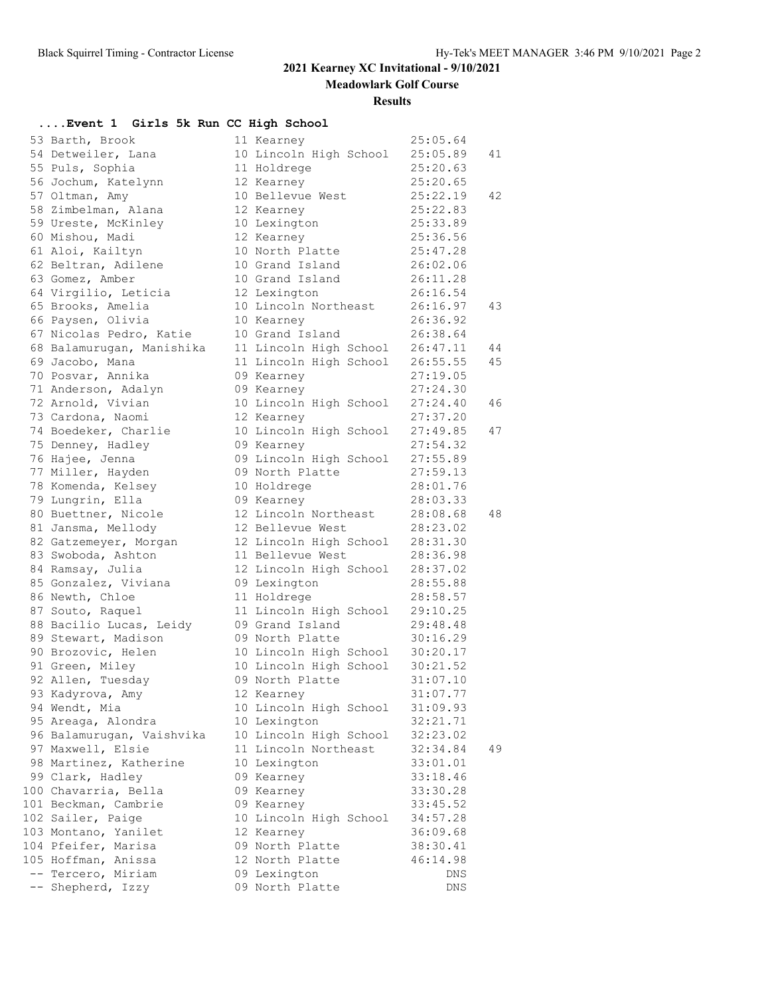**Meadowlark Golf Course**

#### **Results**

### **....Event 1 Girls 5k Run CC High School**

| 53 Barth, Brook           | 11 Kearney             | 25:05.64 |    |
|---------------------------|------------------------|----------|----|
| 54 Detweiler, Lana        | 10 Lincoln High School | 25:05.89 | 41 |
| 55 Puls, Sophia           | 11 Holdrege            | 25:20.63 |    |
| 56 Jochum, Katelynn       | 12 Kearney             | 25:20.65 |    |
| 57 Oltman, Amy            | 10 Bellevue West       | 25:22.19 | 42 |
| 58 Zimbelman, Alana       | 12 Kearney             | 25:22.83 |    |
| 59 Ureste, McKinley       | 10 Lexington           | 25:33.89 |    |
| 60 Mishou, Madi           | 12 Kearney             | 25:36.56 |    |
| 61 Aloi, Kailtyn          | 10 North Platte        | 25:47.28 |    |
| 62 Beltran, Adilene       | 10 Grand Island        | 26:02.06 |    |
| 63 Gomez, Amber           | 10 Grand Island        | 26:11.28 |    |
| 64 Virgilio, Leticia      | 12 Lexington           | 26:16.54 |    |
| 65 Brooks, Amelia         | 10 Lincoln Northeast   | 26:16.97 | 43 |
| 66 Paysen, Olivia         | 10 Kearney             | 26:36.92 |    |
| 67 Nicolas Pedro, Katie   | 10 Grand Island        | 26:38.64 |    |
| 68 Balamurugan, Manishika | 11 Lincoln High School | 26:47.11 | 44 |
| 69 Jacobo, Mana           | 11 Lincoln High School | 26:55.55 | 45 |
| 70 Posvar, Annika         | 09 Kearney             | 27:19.05 |    |
| 71 Anderson, Adalyn       | 09 Kearney             | 27:24.30 |    |
| 72 Arnold, Vivian         | 10 Lincoln High School | 27:24.40 | 46 |
| 73 Cardona, Naomi         | 12 Kearney             | 27:37.20 |    |
| 74 Boedeker, Charlie      | 10 Lincoln High School | 27:49.85 | 47 |
| 75 Denney, Hadley         | 09 Kearney             | 27:54.32 |    |
| 76 Hajee, Jenna           | 09 Lincoln High School | 27:55.89 |    |
| 77 Miller, Hayden         | 09 North Platte        | 27:59.13 |    |
| 78 Komenda, Kelsey        | 10 Holdrege            | 28:01.76 |    |
| 79 Lungrin, Ella          | 09 Kearney             | 28:03.33 |    |
| 80 Buettner, Nicole       | 12 Lincoln Northeast   | 28:08.68 | 48 |
| 81 Jansma, Mellody        | 12 Bellevue West       | 28:23.02 |    |
| 82 Gatzemeyer, Morgan     | 12 Lincoln High School | 28:31.30 |    |
| 83 Swoboda, Ashton        | 11 Bellevue West       | 28:36.98 |    |
| 84 Ramsay, Julia          | 12 Lincoln High School | 28:37.02 |    |
| 85 Gonzalez, Viviana      | 09 Lexington           | 28:55.88 |    |
| 86 Newth, Chloe           | 11 Holdrege            | 28:58.57 |    |
| 87 Souto, Raquel          | 11 Lincoln High School | 29:10.25 |    |
| 88 Bacilio Lucas, Leidy   | 09 Grand Island        | 29:48.48 |    |
| 89 Stewart, Madison       | 09 North Platte        | 30:16.29 |    |
| 90 Brozovic, Helen        | 10 Lincoln High School | 30:20.17 |    |
| 91 Green, Miley           | 10 Lincoln High School | 30:21.52 |    |
| 92 Allen, Tuesday         | 09 North Platte        | 31:07.10 |    |
| 93 Kadyrova, Amy          | 12 Kearney             | 31:07.77 |    |
| 94 Wendt, Mia             | 10 Lincoln High School | 31:09.93 |    |
| 95 Areaga, Alondra        | 10 Lexington           | 32:21.71 |    |
| 96 Balamurugan, Vaishvika | 10 Lincoln High School | 32:23.02 |    |
| 97 Maxwell, Elsie         | 11 Lincoln Northeast   | 32:34.84 | 49 |
| 98 Martinez, Katherine    | 10 Lexington           | 33:01.01 |    |
| 99 Clark, Hadley          | 09 Kearney             | 33:18.46 |    |
| 100 Chavarria, Bella      | 09 Kearney             | 33:30.28 |    |
| 101 Beckman, Cambrie      | 09 Kearney             | 33:45.52 |    |
| 102 Sailer, Paige         | 10 Lincoln High School | 34:57.28 |    |
| 103 Montano, Yanilet      | 12 Kearney             | 36:09.68 |    |
| 104 Pfeifer, Marisa       | 09 North Platte        | 38:30.41 |    |
| 105 Hoffman, Anissa       | 12 North Platte        | 46:14.98 |    |
| -- Tercero, Miriam        | 09 Lexington           | DNS      |    |
| -- Shepherd, Izzy         | 09 North Platte        | DNS      |    |
|                           |                        |          |    |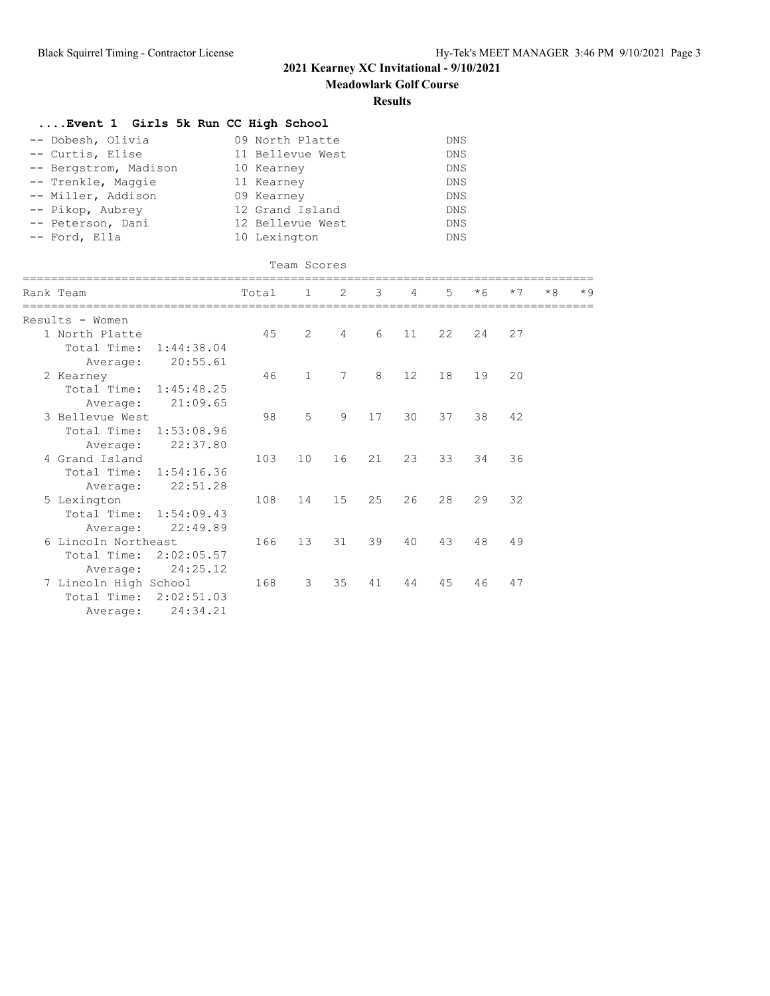**Meadowlark Golf Course**

### **Results**

| Event 1 Girls 5k Run CC High School |                  |            |
|-------------------------------------|------------------|------------|
| -- Dobesh, Olivia                   | 09 North Platte  | DNS        |
| -- Curtis, Elise                    | 11 Bellevue West | DNS        |
| -- Bergstrom, Madison               | 10 Kearney       | <b>DNS</b> |
| -- Trenkle, Maggie                  | 11 Kearney       | DNS        |
| -- Miller, Addison                  | 09 Kearney       | DNS        |
| -- Pikop, Aubrey                    | 12 Grand Island  | DNS        |
| -- Peterson, Dani                   | 12 Bellevue West | DNS        |
| -- Ford, Ella                       | 10 Lexington     | DNS        |

|                        |            |       | Team Scores    |                |    |                |             |      |      |      |      |
|------------------------|------------|-------|----------------|----------------|----|----------------|-------------|------|------|------|------|
| Rank Team              |            | Total | $\mathbf{1}$   | 2              | 3  | $\overline{4}$ | $5^{\circ}$ | $*6$ | $*7$ | $*8$ | $*9$ |
| Results - Women        |            |       |                |                |    |                |             |      |      |      |      |
| 1 North Platte         |            | 45    | 2              | $\overline{4}$ | 6  | 11             | 22          | 24   | 27   |      |      |
| Total Time:            | 1:44:38.04 |       |                |                |    |                |             |      |      |      |      |
| Average:               | 20:55.61   |       |                |                |    |                |             |      |      |      |      |
| 2 Kearney              |            | 46    | $\mathbf{1}$   | 7              | 8  | 12             | 18          | 19   | 20   |      |      |
| Total Time: 1:45:48.25 |            |       |                |                |    |                |             |      |      |      |      |
| Average:               | 21:09.65   |       |                |                |    |                |             |      |      |      |      |
| 3 Bellevue West        |            | 98    | $\overline{5}$ | 9              | 17 | 30             | 37          | 38   | 42   |      |      |
| Total Time: 1:53:08.96 |            |       |                |                |    |                |             |      |      |      |      |
| Average:               | 22:37.80   |       |                |                |    |                |             |      |      |      |      |
| 4 Grand Island         |            | 103   | 10             | 16             | 21 | 23             | 33          | 34   | 36   |      |      |
| Total Time: 1:54:16.36 |            |       |                |                |    |                |             |      |      |      |      |
| Average:               | 22:51.28   |       |                |                |    |                |             |      |      |      |      |
| 5 Lexington            |            | 108   | 14             | 15             | 25 | 26             | 28          | 29   | 32   |      |      |
| Total Time: 1:54:09.43 |            |       |                |                |    |                |             |      |      |      |      |
| Average:               | 22:49.89   |       |                |                |    |                |             |      |      |      |      |
| 6 Lincoln Northeast    |            | 166   | 13             | 31             | 39 | 40             | 43          | 48   | 49   |      |      |
| Total Time: 2:02:05.57 |            |       |                |                |    |                |             |      |      |      |      |
| Average:               | 24:25.12   |       |                |                |    |                |             |      |      |      |      |
| 7 Lincoln High School  |            | 168   | 3              | 35             | 41 | 44             | 45          | 46   | 47   |      |      |
| Total Time:            | 2:02:51.03 |       |                |                |    |                |             |      |      |      |      |
| Average:               | 24:34.21   |       |                |                |    |                |             |      |      |      |      |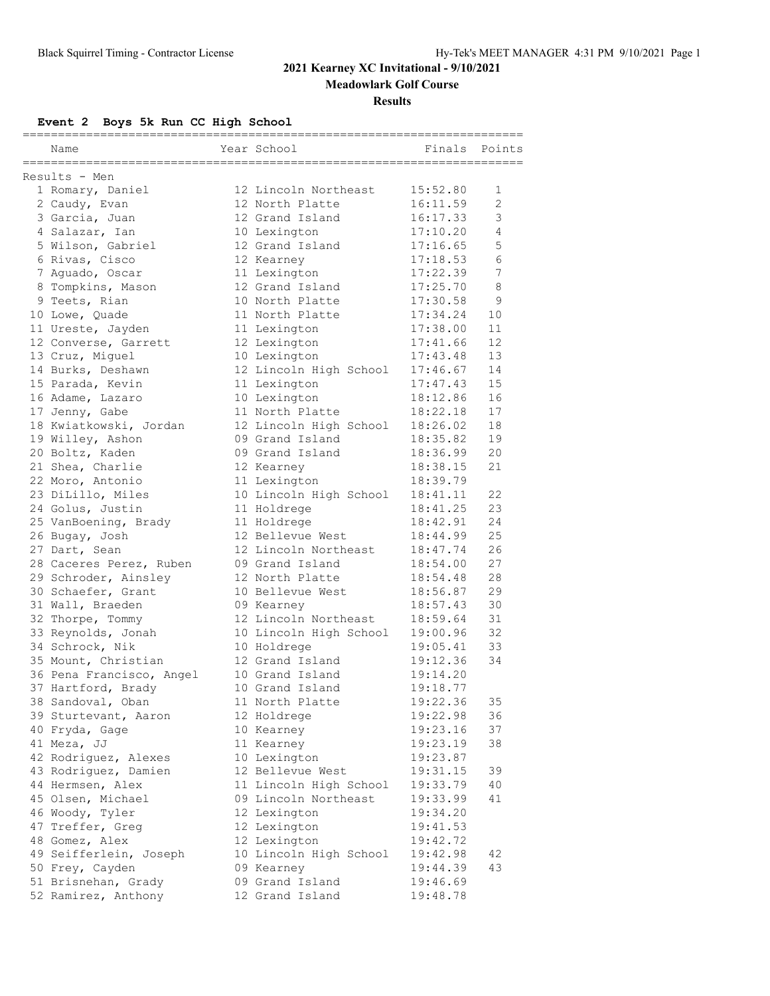### **Meadowlark Golf Course**

#### **Results**

**Event 2 Boys 5k Run CC High School**

| Name                                                 | -------------<br>Year School | ========<br>Finals | Points |
|------------------------------------------------------|------------------------------|--------------------|--------|
| -----------------------------------<br>Results - Men |                              |                    |        |
| 1 Romary, Daniel                                     | 12 Lincoln Northeast         | 15:52.80           | 1      |
| 2 Caudy, Evan                                        | 12 North Platte              | 16:11.59           | 2      |
| 3 Garcia, Juan                                       | 12 Grand Island              | 16:17.33           | 3      |
| 4 Salazar, Ian                                       | 10 Lexington                 | 17:10.20           | 4      |
| 5 Wilson, Gabriel                                    | 12 Grand Island              | 17:16.65           | 5      |
| 6 Rivas, Cisco                                       | 12 Kearney                   | 17:18.53           | 6      |
| 7 Aquado, Oscar                                      | 11 Lexington                 | 17:22.39           | 7      |
| 8 Tompkins, Mason                                    | 12 Grand Island              | 17:25.70           | 8      |
| 9 Teets, Rian                                        | 10 North Platte              | 17:30.58           | 9      |
| 10 Lowe, Ouade                                       | 11 North Platte              | 17:34.24           | 10     |
| 11 Ureste, Jayden                                    | 11 Lexington                 | 17:38.00           | 11     |
| 12 Converse, Garrett                                 | 12 Lexington                 | 17:41.66           | 12     |
| 13 Cruz, Miguel                                      | 10 Lexington                 | 17:43.48           | 13     |
| 14 Burks, Deshawn                                    | 12 Lincoln High School       | 17:46.67           | 14     |
| 15 Parada, Kevin                                     | 11 Lexington                 | 17:47.43           | 15     |
| 16 Adame, Lazaro                                     | 10 Lexington                 | 18:12.86           | 16     |
| 17 Jenny, Gabe                                       | 11 North Platte              | 18:22.18           | 17     |
| 18 Kwiatkowski, Jordan                               | 12 Lincoln High School       | 18:26.02           | 18     |
| 19 Willey, Ashon                                     | 09 Grand Island              | 18:35.82           | 19     |
| 20 Boltz, Kaden                                      | 09 Grand Island              | 18:36.99           | 20     |
| 21 Shea, Charlie                                     | 12 Kearney                   | 18:38.15           | 21     |
| 22 Moro, Antonio                                     | 11 Lexington                 | 18:39.79           |        |
| 23 DiLillo, Miles                                    | 10 Lincoln High School       | 18:41.11           | 22     |
| 24 Golus, Justin                                     | 11 Holdrege                  | 18:41.25           | 23     |
| 25 VanBoening, Brady                                 | 11 Holdrege                  | 18:42.91           | 24     |
| 26 Bugay, Josh                                       | 12 Bellevue West             | 18:44.99           | 25     |
| 27 Dart, Sean                                        | 12 Lincoln Northeast         | 18:47.74           | 26     |
| 28 Caceres Perez, Ruben                              | 09 Grand Island              | 18:54.00           | 27     |
| 29 Schroder, Ainsley                                 | 12 North Platte              | 18:54.48           | 28     |
| 30 Schaefer, Grant                                   | 10 Bellevue West             | 18:56.87           | 29     |
| 31 Wall, Braeden                                     | 09 Kearney                   | 18:57.43           | 30     |
| 32 Thorpe, Tommy                                     | 12 Lincoln Northeast         | 18:59.64           | 31     |
| 33 Reynolds, Jonah                                   | 10 Lincoln High School       | 19:00.96           | 32     |
| 34 Schrock, Nik                                      | 10 Holdrege                  | 19:05.41           | 33     |
| 35 Mount, Christian                                  | 12 Grand Island              | 19:12.36           | 34     |
| 36 Pena Francisco, Angel                             | 10 Grand Island              | 19:14.20           |        |
| 37 Hartford, Brady                                   | 10 Grand Island              | 19:18.77           |        |
| 38 Sandoval, Oban                                    | 11 North Platte              | 19:22.36           | 35     |
| 39 Sturtevant, Aaron                                 | 12 Holdrege                  | 19:22.98           | 36     |
| 40 Fryda, Gage                                       | 10 Kearney                   | 19:23.16           | 37     |
| 41 Meza, JJ                                          | 11 Kearney                   | 19:23.19           | 38     |
| 42 Rodriguez, Alexes                                 | 10 Lexington                 | 19:23.87           |        |
| 43 Rodriguez, Damien                                 | 12 Bellevue West             | 19:31.15           | 39     |
| 44 Hermsen, Alex                                     | 11 Lincoln High School       | 19:33.79           | 40     |
| 45 Olsen, Michael                                    | 09 Lincoln Northeast         | 19:33.99           | 41     |
| 46 Woody, Tyler                                      | 12 Lexington                 | 19:34.20           |        |
| 47 Treffer, Greg                                     | 12 Lexington                 | 19:41.53           |        |
| 48 Gomez, Alex                                       | 12 Lexington                 | 19:42.72           |        |
| 49 Seifferlein, Joseph                               | 10 Lincoln High School       | 19:42.98           | 42     |
| 50 Frey, Cayden                                      | 09 Kearney                   | 19:44.39           | 43     |
| 51 Brisnehan, Grady                                  | 09 Grand Island              | 19:46.69           |        |
| 52 Ramirez, Anthony                                  | 12 Grand Island              | 19:48.78           |        |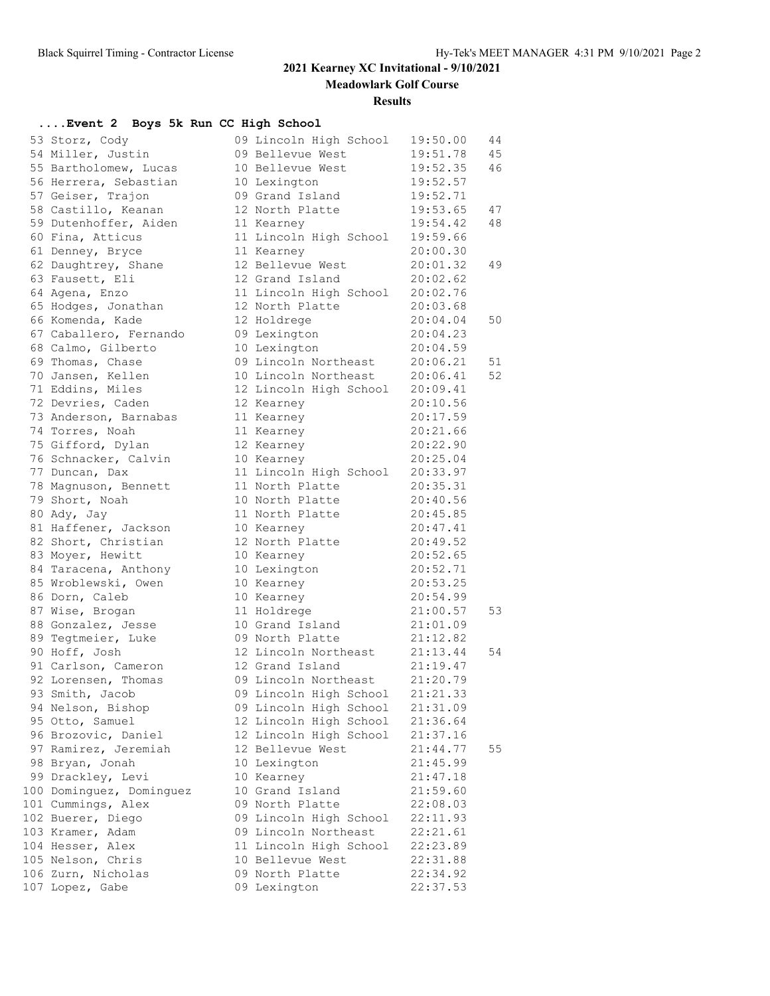**Meadowlark Golf Course**

#### **Results**

### **....Event 2 Boys 5k Run CC High School**

| 53 Storz, Cody           | 09 Lincoln High School          | 19:50.00 | 44 |
|--------------------------|---------------------------------|----------|----|
| 54 Miller, Justin        | 09 Bellevue West                | 19:51.78 | 45 |
| 55 Bartholomew, Lucas    | 10 Bellevue West                | 19:52.35 | 46 |
| 56 Herrera, Sebastian    | 10 Lexington                    | 19:52.57 |    |
| 57 Geiser, Trajon        | 09 Grand Island                 | 19:52.71 |    |
| 58 Castillo, Keanan      | 12 North Platte                 | 19:53.65 | 47 |
| 59 Dutenhoffer, Aiden    | 11 Kearney                      | 19:54.42 | 48 |
| 60 Fina, Atticus         | 11 Lincoln High School          | 19:59.66 |    |
| 61 Denney, Bryce         | 11 Kearney                      | 20:00.30 |    |
| 62 Daughtrey, Shane      | 12 Bellevue West                | 20:01.32 | 49 |
| 63 Fausett, Eli          | 12 Grand Island                 | 20:02.62 |    |
| 64 Agena, Enzo           | 11 Lincoln High School          | 20:02.76 |    |
| 65 Hodges, Jonathan      | 12 North Platte                 | 20:03.68 |    |
| 66 Komenda, Kade         | 12 Holdrege                     | 20:04.04 | 50 |
| 67 Caballero, Fernando   | 09 Lexington                    | 20:04.23 |    |
| 68 Calmo, Gilberto       | 10 Lexington                    | 20:04.59 |    |
| 69 Thomas, Chase         | 09 Lincoln Northeast 20:06.21   |          | 51 |
| 70 Jansen, Kellen        | 10 Lincoln Northeast 20:06.41   |          | 52 |
| 71 Eddins, Miles         | 12 Lincoln High School 20:09.41 |          |    |
| 72 Devries, Caden        | 12 Kearney                      | 20:10.56 |    |
| 73 Anderson, Barnabas    | 11 Kearney                      | 20:17.59 |    |
| 74 Torres, Noah          | 11 Kearney                      | 20:21.66 |    |
| 75 Gifford, Dylan        | 12 Kearney                      | 20:22.90 |    |
| 76 Schnacker, Calvin     | 10 Kearney                      | 20:25.04 |    |
| 77 Duncan, Dax           | 11 Lincoln High School          | 20:33.97 |    |
| 78 Magnuson, Bennett     | 11 North Platte                 | 20:35.31 |    |
| 79 Short, Noah           | 10 North Platte                 | 20:40.56 |    |
| 80 Ady, Jay              | 11 North Platte                 | 20:45.85 |    |
| 81 Haffener, Jackson     | 10 Kearney                      | 20:47.41 |    |
| 82 Short, Christian      | 12 North Platte                 | 20:49.52 |    |
| 83 Moyer, Hewitt         | 10 Kearney                      | 20:52.65 |    |
| 84 Taracena, Anthony     | 10 Lexington                    | 20:52.71 |    |
| 85 Wroblewski, Owen      | 10 Kearney                      | 20:53.25 |    |
| 86 Dorn, Caleb           | 10 Kearney                      | 20:54.99 |    |
| 87 Wise, Brogan          | 11 Holdrege                     | 21:00.57 | 53 |
| 88 Gonzalez, Jesse       | 10 Grand Island                 | 21:01.09 |    |
| 89 Tegtmeier, Luke       | 09 North Platte                 | 21:12.82 |    |
| 90 Hoff, Josh            | 12 Lincoln Northeast            | 21:13.44 | 54 |
| 91 Carlson, Cameron      | 12 Grand Island                 | 21:19.47 |    |
| 92 Lorensen, Thomas      | 09 Lincoln Northeast            | 21:20.79 |    |
| 93 Smith, Jacob          | 09 Lincoln High School 21:21.33 |          |    |
| 94 Nelson, Bishop        | 09 Lincoln High School          | 21:31.09 |    |
| 95 Otto, Samuel          | 12 Lincoln High School          | 21:36.64 |    |
| 96 Brozovic, Daniel      | 12 Lincoln High School          | 21:37.16 |    |
| 97 Ramirez, Jeremiah     | 12 Bellevue West                | 21:44.77 | 55 |
| 98 Bryan, Jonah          | 10 Lexington                    | 21:45.99 |    |
| 99 Drackley, Levi        | 10 Kearney                      | 21:47.18 |    |
| 100 Dominguez, Dominguez | 10 Grand Island                 | 21:59.60 |    |
| 101 Cummings, Alex       | 09 North Platte                 | 22:08.03 |    |
| 102 Buerer, Diego        | 09 Lincoln High School          | 22:11.93 |    |
| 103 Kramer, Adam         | 09 Lincoln Northeast            | 22:21.61 |    |
| 104 Hesser, Alex         | 11 Lincoln High School          | 22:23.89 |    |
| 105 Nelson, Chris        | 10 Bellevue West                | 22:31.88 |    |
| 106 Zurn, Nicholas       | 09 North Platte                 | 22:34.92 |    |
| 107 Lopez, Gabe          | 09 Lexington                    | 22:37.53 |    |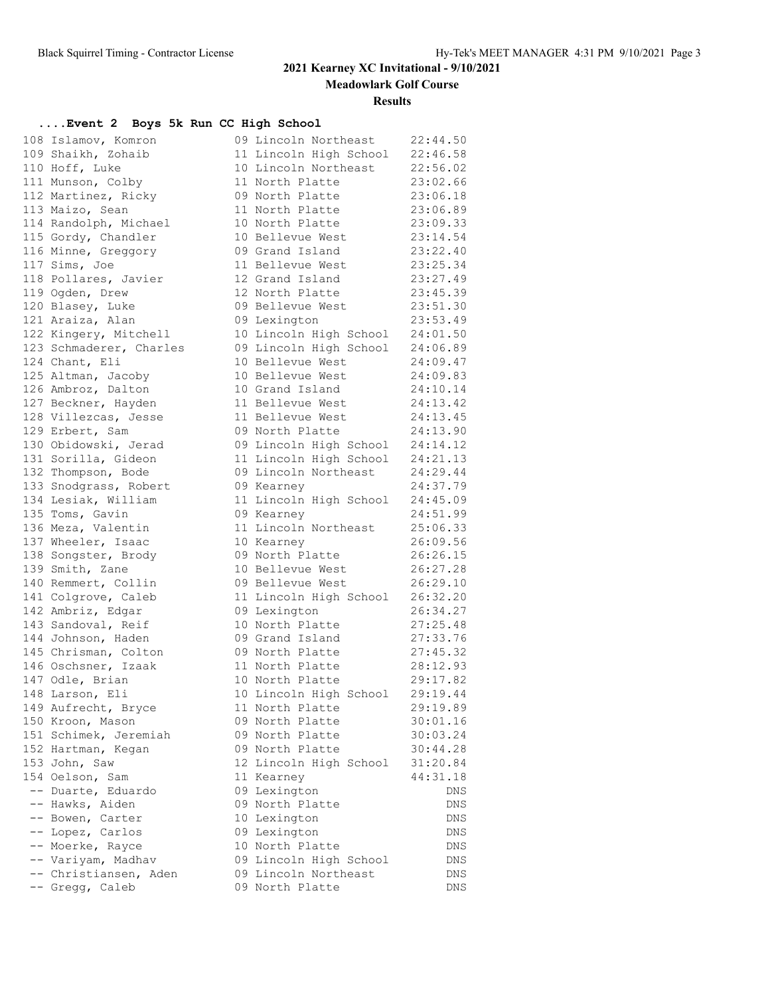**Meadowlark Golf Course**

#### **Results**

### **....Event 2 Boys 5k Run CC High School**

| 108 Islamov, Komron     | 09 Lincoln Northeast                                               | 22:44.50 |
|-------------------------|--------------------------------------------------------------------|----------|
| 109 Shaikh, Zohaib      | 11 Lincoln High School                                             | 22:46.58 |
| 110 Hoff, Luke          | 10 Lincoln Northeast                                               | 22:56.02 |
| 111 Munson, Colby       | 11 North Platte                                                    | 23:02.66 |
| 112 Martinez, Ricky     | 09 North Platte                                                    | 23:06.18 |
| 113 Maizo, Sean         | 11 North Platte                                                    | 23:06.89 |
| 114 Randolph, Michael   | 10 North Platte                                                    | 23:09.33 |
| 115 Gordy, Chandler     | 10 Bellevue West                                                   | 23:14.54 |
| 116 Minne, Greggory     | 09 Grand Island                                                    | 23:22.40 |
| 117 Sims, Joe           | 11 Bellevue West                                                   | 23:25.34 |
| 118 Pollares, Javier    | 12 Grand Island                                                    | 23:27.49 |
| 119 Ogden, Drew         | 12 North Platte                                                    | 23:45.39 |
| 120 Blasey, Luke        | 09 Bellevue West                                                   | 23:51.30 |
| 121 Araiza, Alan        | 09 Lexington                                                       | 23:53.49 |
| 122 Kingery, Mitchell   | 10 Lincoln High School                                             | 24:01.50 |
| 123 Schmaderer, Charles | 09 Lincoln High School 24:06.89                                    |          |
| 124 Chant, Eli          | 10 Bellevue West                                                   | 24:09.47 |
| 125 Altman, Jacoby      | 10 Bellevue West                                                   | 24:09.83 |
| 126 Ambroz, Dalton      | 10 Grand Island                                                    | 24:10.14 |
| 127 Beckner, Hayden     | 11 Bellevue West                                                   | 24:13.42 |
| 128 Villezcas, Jesse    | 11 Bellevue West                                                   | 24:13.45 |
| 129 Erbert, Sam         | 09 North Platte                                                    | 24:13.90 |
| 130 Obidowski, Jerad    | 09 Lincoln High School 24:14.12<br>11 Lincoln High School 24:21.13 |          |
| 131 Sorilla, Gideon     |                                                                    |          |
| 132 Thompson, Bode      | 09 Lincoln Northeast                                               | 24:29.44 |
| 133 Snodgrass, Robert   | 09 Kearney                                                         | 24:37.79 |
| 134 Lesiak, William     | 11 Lincoln High School                                             | 24:45.09 |
| 135 Toms, Gavin         | 09 Kearney                                                         | 24:51.99 |
| 136 Meza, Valentin      | 11 Lincoln Northeast                                               | 25:06.33 |
| 137 Wheeler, Isaac      | 10 Kearney                                                         | 26:09.56 |
| 138 Songster, Brody     | 09 North Platte                                                    | 26:26.15 |
| 139 Smith, Zane         | 10 Bellevue West                                                   | 26:27.28 |
| 140 Remmert, Collin     | 09 Bellevue West                                                   | 26:29.10 |
| 141 Colgrove, Caleb     | 11 Lincoln High School                                             | 26:32.20 |
| 142 Ambriz, Edgar       | 09 Lexington                                                       | 26:34.27 |
| 143 Sandoval, Reif      | 10 North Platte                                                    | 27:25.48 |
| 144 Johnson, Haden      | 09 Grand Island                                                    | 27:33.76 |
| 145 Chrisman, Colton    | 09 North Platte                                                    | 27:45.32 |
| 146 Oschsner, Izaak     | 11 North Platte                                                    | 28:12.93 |
| 147 Odle, Brian         | 10 North Platte                                                    | 29:17.82 |
| 148 Larson, Eli         | 10 Lincoln High School                                             | 29:19.44 |
| 149 Aufrecht, Bryce     | 11 North Platte                                                    | 29:19.89 |
| 150 Kroon, Mason        | 09 North Platte                                                    | 30:01.16 |
| 151 Schimek, Jeremiah   | 09 North Platte                                                    | 30:03.24 |
| 152 Hartman, Kegan      | 09 North Platte                                                    | 30:44.28 |
| 153 John, Saw           | 12 Lincoln High School                                             | 31:20.84 |
| 154 Oelson, Sam         | 11 Kearney                                                         | 44:31.18 |
| -- Duarte, Eduardo      | 09 Lexington                                                       | DNS      |
| -- Hawks, Aiden         | 09 North Platte                                                    | DNS      |
| -- Bowen, Carter        | 10 Lexington                                                       | DNS      |
| -- Lopez, Carlos        | 09 Lexington                                                       | DNS      |
| -- Moerke, Rayce        | 10 North Platte                                                    | DNS      |
| -- Variyam, Madhav      | 09 Lincoln High School                                             | DNS      |
| -- Christiansen, Aden   | 09 Lincoln Northeast                                               | DNS      |
| -- Gregg, Caleb         | 09 North Platte                                                    | DNS      |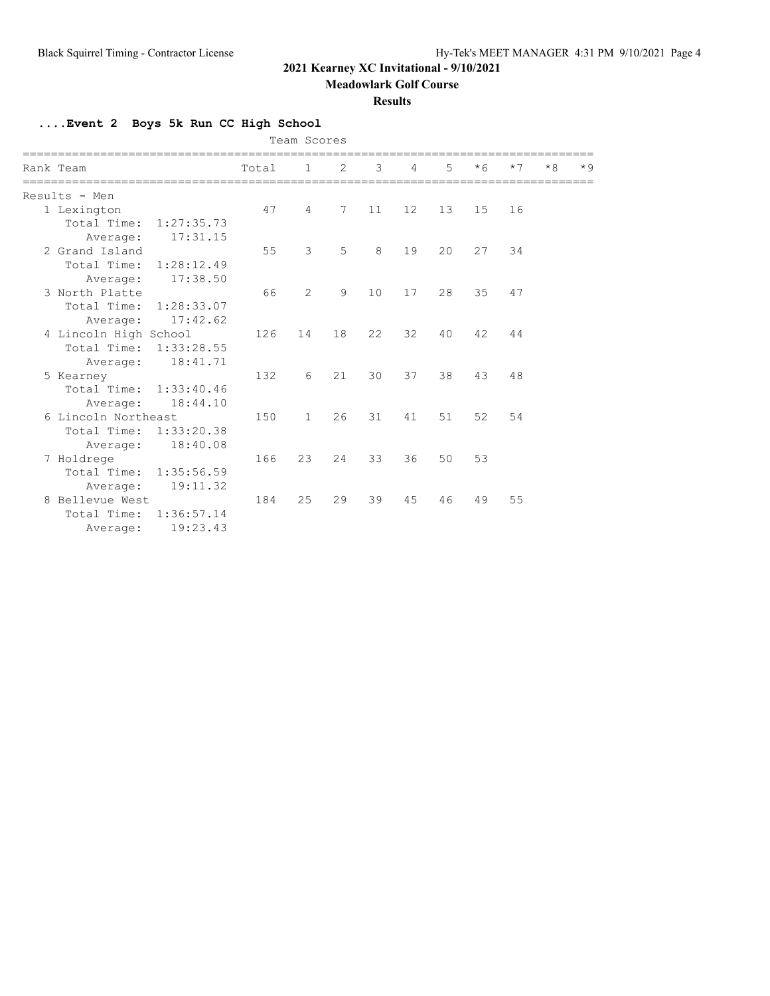**Meadowlark Golf Course**

### **Results**

**....Event 2 Boys 5k Run CC High School**

|  |                           |       | Team Scores  |                |    |                |    |      |      |      |      |
|--|---------------------------|-------|--------------|----------------|----|----------------|----|------|------|------|------|
|  | Rank Team                 | Total | 1            | $\overline{2}$ | 3  | $\overline{4}$ | 5  | $*6$ | $*7$ | $*8$ | $*9$ |
|  | Results - Men             |       |              |                |    |                |    |      |      |      |      |
|  | 1 Lexington               | 47    | 4            | 7              | 11 | 12             | 13 | 15   | 16   |      |      |
|  | Total Time: 1:27:35.73    |       |              |                |    |                |    |      |      |      |      |
|  | 17:31.15<br>Average:      |       |              |                |    |                |    |      |      |      |      |
|  | 2 Grand Island            | 55    | 3            | 5              | 8  | 19             | 20 | 27   | 34   |      |      |
|  | Total Time: 1:28:12.49    |       |              |                |    |                |    |      |      |      |      |
|  | 17:38.50<br>Average:      |       |              |                |    |                |    |      |      |      |      |
|  | 3 North Platte            | 66    | 2            | 9              | 10 | 17             | 28 | 35   | 47   |      |      |
|  | Total Time: 1:28:33.07    |       |              |                |    |                |    |      |      |      |      |
|  | 17:42.62<br>Average:      |       |              |                |    |                |    |      |      |      |      |
|  | 4 Lincoln High School     | 126   | 14           | 18             | 22 | 32             | 40 | 42   | 44   |      |      |
|  | Total Time: 1:33:28.55    |       |              |                |    |                |    |      |      |      |      |
|  | 18:41.71<br>Average:      |       |              |                |    |                |    |      |      |      |      |
|  | 5 Kearney                 | 132   | 6            | 21             | 30 | 37             | 38 | 43   | 48   |      |      |
|  | Total Time: 1:33:40.46    |       |              |                |    |                |    |      |      |      |      |
|  | 18:44.10<br>Average:      |       |              |                |    |                |    |      |      |      |      |
|  | 6 Lincoln Northeast       | 150   | $\mathbf{1}$ | 26             | 31 | 41             | 51 | 52   | 54   |      |      |
|  | Total Time:<br>1:33:20.38 |       |              |                |    |                |    |      |      |      |      |
|  | 18:40.08<br>Average:      |       |              |                |    |                |    |      |      |      |      |
|  | 7 Holdrege                | 166   | 23           | 24             | 33 | 36             | 50 | 53   |      |      |      |
|  | Total Time:<br>1:35:56.59 |       |              |                |    |                |    |      |      |      |      |
|  | 19:11.32<br>Average:      |       |              |                |    |                |    |      |      |      |      |
|  | 8 Bellevue West           | 184   | 25           | 29             | 39 | 45             | 46 | 49   | 55   |      |      |
|  | Total Time: 1:36:57.14    |       |              |                |    |                |    |      |      |      |      |
|  | 19:23.43<br>Average:      |       |              |                |    |                |    |      |      |      |      |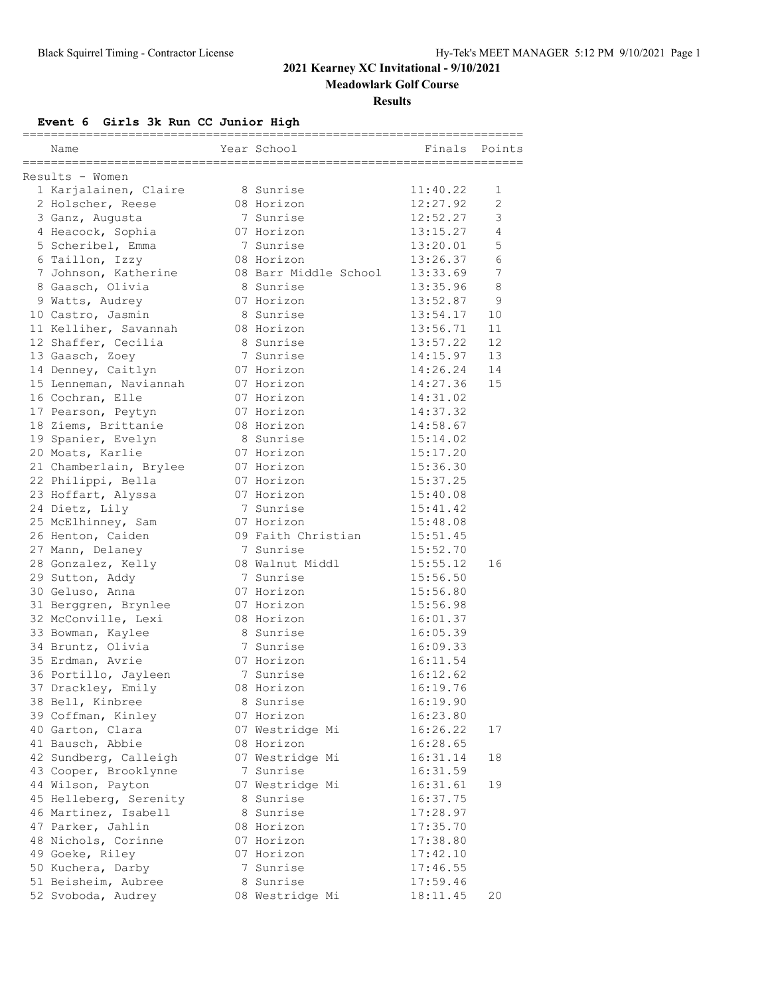**Meadowlark Golf Course**

#### **Results**

### **Event 6 Girls 3k Run CC Junior High**

|                        |                          | =====                |        |
|------------------------|--------------------------|----------------------|--------|
| Name                   | Year School              | Finals               | Points |
| Results - Women        |                          |                      |        |
| 1 Karjalainen, Claire  | 8 Sunrise                | 11:40.22             | 1      |
| 2 Holscher, Reese      | 08 Horizon               | 12:27.92             | 2      |
| 3 Ganz, Augusta        | 7 Sunrise                | 12:52.27             | 3      |
| 4 Heacock, Sophia      | 07 Horizon               | 13:15.27             | 4      |
| 5 Scheribel, Emma      | 7 Sunrise                | 13:20.01             | 5      |
| 6 Taillon, Izzy        | 08 Horizon               | 13:26.37             | 6      |
| 7 Johnson, Katherine   | 08 Barr Middle School    | 13:33.69             | 7      |
| 8 Gaasch, Olivia       | 8 Sunrise                | 13:35.96             | 8      |
| 9 Watts, Audrey        | 07 Horizon               | 13:52.87             | 9      |
| 10 Castro, Jasmin      | 8 Sunrise                | 13:54.17             | 10     |
| 11 Kelliher, Savannah  | 08 Horizon               | 13:56.71             | 11     |
| 12 Shaffer, Cecilia    | 8 Sunrise                | 13:57.22             | 12     |
| 13 Gaasch, Zoey        | 7 Sunrise                | 14:15.97             | 13     |
| 14 Denney, Caitlyn     | 07 Horizon               | 14:26.24             | 14     |
| 15 Lenneman, Naviannah | 07 Horizon               | 14:27.36             | 15     |
| 16 Cochran, Elle       | 07 Horizon               | 14:31.02             |        |
| 17 Pearson, Peytyn     | 07 Horizon               | 14:37.32             |        |
| 18 Ziems, Brittanie    | 08 Horizon               | 14:58.67             |        |
| 19 Spanier, Evelyn     | 8 Sunrise                | 15:14.02             |        |
|                        | 07 Horizon               | 15:17.20             |        |
| 20 Moats, Karlie       | 07 Horizon               |                      |        |
| 21 Chamberlain, Brylee |                          | 15:36.30             |        |
| 22 Philippi, Bella     | 07 Horizon<br>07 Horizon | 15:37.25<br>15:40.08 |        |
| 23 Hoffart, Alyssa     |                          |                      |        |
| 24 Dietz, Lily         | 7 Sunrise                | 15:41.42             |        |
| 25 McElhinney, Sam     | 07 Horizon               | 15:48.08             |        |
| 26 Henton, Caiden      | 09 Faith Christian       | 15:51.45             |        |
| 27 Mann, Delaney       | 7 Sunrise                | 15:52.70             |        |
| 28 Gonzalez, Kelly     | 08 Walnut Middl          | 15:55.12             | 16     |
| 29 Sutton, Addy        | 7 Sunrise                | 15:56.50             |        |
| 30 Geluso, Anna        | 07 Horizon               | 15:56.80             |        |
| 31 Berggren, Brynlee   | 07 Horizon               | 15:56.98             |        |
| 32 McConville, Lexi    | 08 Horizon               | 16:01.37             |        |
| 33 Bowman, Kaylee      | 8 Sunrise                | 16:05.39             |        |
| 34 Bruntz, Olivia      | 7 Sunrise                | 16:09.33             |        |
| 35 Erdman, Avrie       | 07 Horizon               | 16:11.54             |        |
| 36 Portillo, Jayleen   | 7 Sunrise                | 16:12.62             |        |
| 37 Drackley, Emily     | 08 Horizon               | 16:19.76             |        |
| 38 Bell, Kinbree       | 8 Sunrise                | 16:19.90             |        |
| 39 Coffman, Kinley     | 07 Horizon               | 16:23.80             |        |
| 40 Garton, Clara       | 07 Westridge Mi          | 16:26.22             | 17     |
| 41 Bausch, Abbie       | 08 Horizon               | 16:28.65             |        |
| 42 Sundberg, Calleigh  | 07 Westridge Mi          | 16:31.14             | 18     |
| 43 Cooper, Brooklynne  | 7 Sunrise                | 16:31.59             |        |
| 44 Wilson, Payton      | 07 Westridge Mi          | 16:31.61             | 19     |
| 45 Helleberg, Serenity | 8 Sunrise                | 16:37.75             |        |
| 46 Martinez, Isabell   | 8 Sunrise                | 17:28.97             |        |
| 47 Parker, Jahlin      | 08 Horizon               | 17:35.70             |        |
| 48 Nichols, Corinne    | 07 Horizon               | 17:38.80             |        |
| 49 Goeke, Riley        | 07 Horizon               | 17:42.10             |        |
| 50 Kuchera, Darby      | 7 Sunrise                | 17:46.55             |        |
| 51 Beisheim, Aubree    | 8 Sunrise                | 17:59.46             |        |
| 52 Svoboda, Audrey     | 08 Westridge Mi          | 18:11.45             | 20     |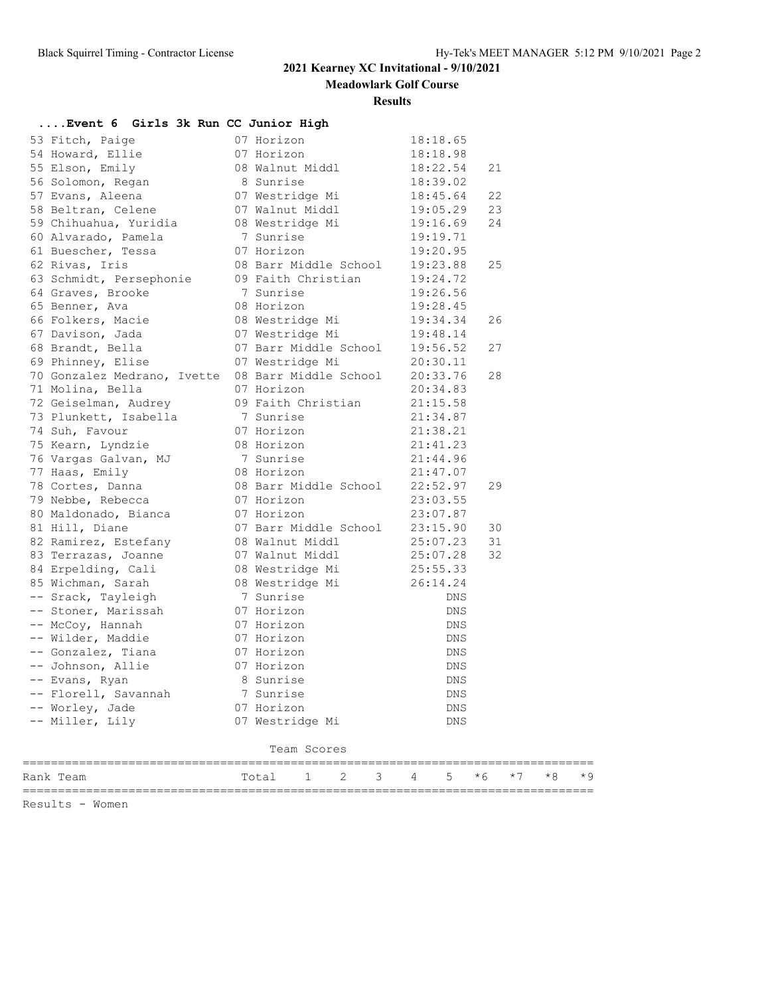**Meadowlark Golf Course**

#### **Results**

| Event 6 Girls 3k Run CC Junior High                        |                                    |            |      |      |      |      |
|------------------------------------------------------------|------------------------------------|------------|------|------|------|------|
| 53 Fitch, Paige                                            | 07 Horizon                         | 18:18.65   |      |      |      |      |
| 54 Howard, Ellie                                           | 07 Horizon                         | 18:18.98   |      |      |      |      |
| 55 Elson, Emily                                            | 08 Walnut Middl                    | 18:22.54   | 21   |      |      |      |
| 56 Solomon, Regan                                          | 8 Sunrise                          | 18:39.02   |      |      |      |      |
| 57 Evans, Aleena                                           | 07 Westridge Mi                    | 18:45.64   | 22   |      |      |      |
| 58 Beltran, Celene                                         | 07 Walnut Middl                    | 19:05.29   | 23   |      |      |      |
| 59 Chihuahua, Yuridia                                      | 07 Walnut Miuu.<br>08 Westridge Mi | 19:16.69   | 24   |      |      |      |
| 60 Alvarado, Pamela                                        | 7 Sunrise                          | 19:19.71   |      |      |      |      |
| 61 Buescher, Tessa                                         | 07 Horizon                         | 19:20.95   |      |      |      |      |
| 62 Rivas, Iris                                             | 08 Barr Middle School 19:23.88     |            | 25   |      |      |      |
| 63 Schmidt, Persephonie 09 Faith Christian                 |                                    | 19:24.72   |      |      |      |      |
| 64 Graves, Brooke                                          | 7 Sunrise                          | 19:26.56   |      |      |      |      |
| 65 Benner, Ava                                             | 08 Horizon                         | 19:28.45   |      |      |      |      |
| 66 Folkers, Macie                                          | 08 Westridge Mi 19:34.34           |            | 26   |      |      |      |
| 67 Davison, Jada                                           | 07 Westridge Mi                    | 19:48.14   |      |      |      |      |
| 68 Brandt, Bella                                           | 07 Barr Middle School 19:56.52     |            | 27   |      |      |      |
| 69 Phinney, Elise                                          | 07 Westridge Mi                    | 20:30.11   |      |      |      |      |
| 70 Gonzalez Medrano, Ivette 08 Barr Middle School 20:33.76 |                                    |            | 28   |      |      |      |
| 71 Molina, Bella                                           | 07 Horizon                         | 20:34.83   |      |      |      |      |
| 72 Geiselman, Audrey                                       | 09 Faith Christian                 | 21:15.58   |      |      |      |      |
| 73 Plunkett, Isabella                                      | 7 Sunrise                          | 21:34.87   |      |      |      |      |
| 74 Suh, Favour                                             | 07 Horizon                         | 21:38.21   |      |      |      |      |
| 75 Kearn, Lyndzie                                          | 08 Horizon                         | 21:41.23   |      |      |      |      |
| 76 Vargas Galvan, MJ                                       | 7 Sunrise                          | 21:44.96   |      |      |      |      |
| 77 Haas, Emily                                             | 08 Horizon                         | 21:47.07   |      |      |      |      |
| 78 Cortes, Danna                                           | 08 Barr Middle School              | 22:52.97   | 29   |      |      |      |
| 79 Nebbe, Rebecca                                          | 07 Horizon                         | 23:03.55   |      |      |      |      |
| 80 Maldonado, Bianca                                       | 07 Horizon                         | 23:07.87   |      |      |      |      |
| 81 Hill, Diane                                             | 07 Barr Middle School 23:15.90     |            | 30   |      |      |      |
| 82 Ramirez, Estefany                                       | 08 Walnut Middl                    | 25:07.23   | 31   |      |      |      |
| 83 Terrazas, Joanne                                        | 07 Walnut Middl                    | 25:07.28   | 32   |      |      |      |
| 84 Erpelding, Cali                                         | 08 Westridge Mi                    | 25:55.33   |      |      |      |      |
| 85 Wichman, Sarah                                          | 08 Westridge Mi                    | 26:14.24   |      |      |      |      |
| -- Srack, Tayleigh                                         | 7 Sunrise                          | DNS        |      |      |      |      |
| -- Stoner, Marissah                                        | 07 Horizon                         | DNS        |      |      |      |      |
| -- McCoy, Hannah                                           | 07 Horizon                         | DNS        |      |      |      |      |
| -- Wilder, Maddie                                          | 07 Horizon                         | <b>DNS</b> |      |      |      |      |
| -- Gonzalez, Tiana                                         | 07 Horizon                         | DNS        |      |      |      |      |
| -- Johnson, Allie                                          | 07 Horizon                         | DNS        |      |      |      |      |
| -- Evans, Ryan                                             | 8 Sunrise                          | DNS        |      |      |      |      |
| -- Florell, Savannah                                       | 7 Sunrise                          | DNS        |      |      |      |      |
| -- Worley, Jade                                            | 07 Horizon                         | <b>DNS</b> |      |      |      |      |
| -- Miller, Lily                                            | 07 Westridge Mi                    | DNS        |      |      |      |      |
|                                                            | Team Scores                        |            |      |      |      |      |
| Rank Team                                                  | Total<br>2<br>3<br>1               | 5<br>4     | $*6$ | $*7$ | $*8$ | $*9$ |
|                                                            |                                    |            |      |      |      |      |

Results - Women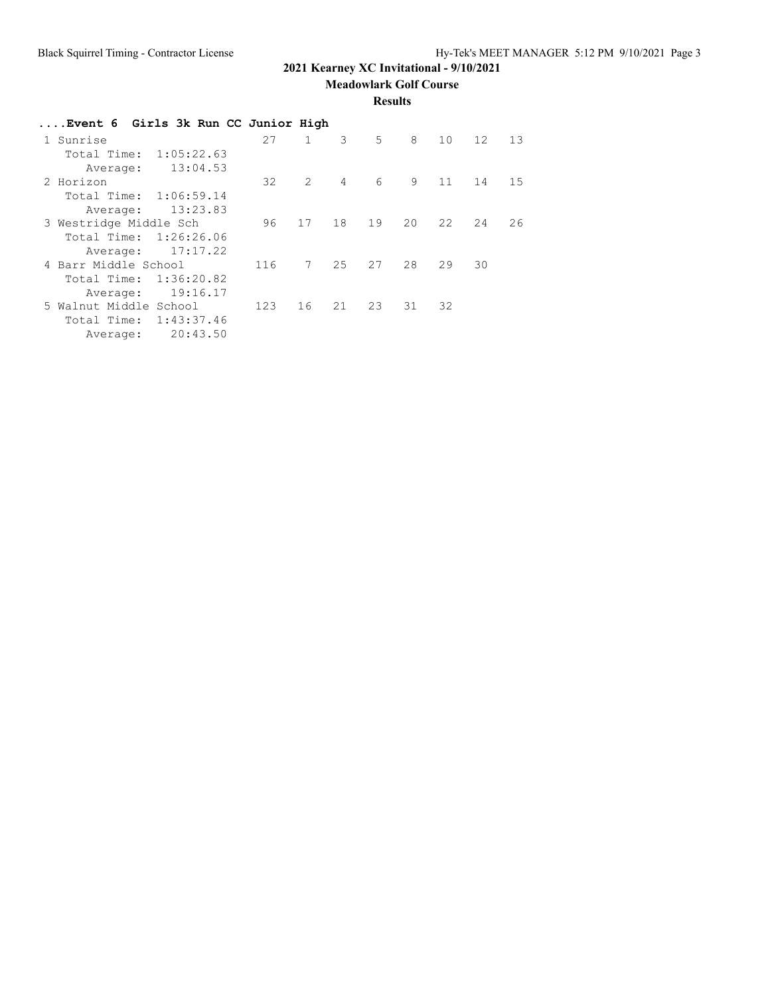**Meadowlark Golf Course**

#### **Results**

| Event 6 Girls 3k Run CC Junior High |     |              |                |       |    |    |    |    |
|-------------------------------------|-----|--------------|----------------|-------|----|----|----|----|
| 1 Sunrise                           | 27  | $\mathbf{1}$ | 3              | $5 -$ | 8  | 10 | 12 | 13 |
| 1:05:22.63<br>Total Time:           |     |              |                |       |    |    |    |    |
| 13:04.53<br>Average:                |     |              |                |       |    |    |    |    |
| 2 Horizon                           | 32  | 2            | $\overline{4}$ | 6     | 9  | 11 | 14 | 15 |
| Total Time:<br>1:06:59.14           |     |              |                |       |    |    |    |    |
| 13:23.83<br>Average:                |     |              |                |       |    |    |    |    |
| 3 Westridge Middle Sch              | 96  | 17           | 18             | 19    | 20 | 22 | 24 | 26 |
| 1:26:26.06<br>Total Time:           |     |              |                |       |    |    |    |    |
| 17:17.22<br>Average:                |     |              |                |       |    |    |    |    |
| 4 Barr Middle School                | 116 | 7            | 25             | 27    | 28 | 29 | 30 |    |
| 1:36:20.82<br>Total Time:           |     |              |                |       |    |    |    |    |
| 19:16.17<br>Average:                |     |              |                |       |    |    |    |    |
| 5 Walnut Middle School              | 123 | 16           | 21             | 23    | 31 | 32 |    |    |
| 1:43:37.46<br>Total Time:           |     |              |                |       |    |    |    |    |
| 20:43.50<br>Average:                |     |              |                |       |    |    |    |    |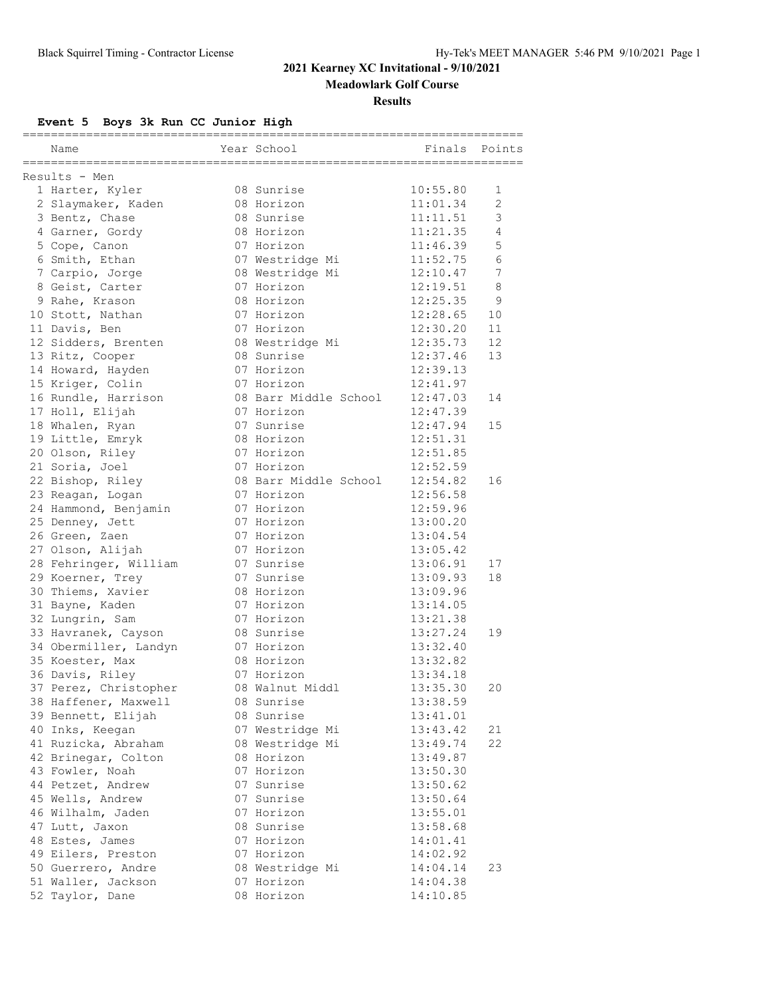**Meadowlark Golf Course**

#### **Results**

## **Event 5 Boys 3k Run CC Junior High**

|                       |                                     | ==================== |        |
|-----------------------|-------------------------------------|----------------------|--------|
| Name                  | Year School                         | Finals               | Points |
| Results - Men         |                                     |                      |        |
| 1 Harter, Kyler       | 08 Sunrise                          | 10:55.80             | 1      |
| 2 Slaymaker, Kaden    | 08 Horizon                          | 11:01.34             | 2      |
| 3 Bentz, Chase        | 08 Sunrise                          | 11:11.51             | 3      |
| 4 Garner, Gordy       | 08 Horizon                          | 11:21.35             | 4      |
| 5 Cope, Canon         | 07 Horizon                          | 11:46.39             | 5      |
| 6 Smith, Ethan        | 07 Westridge Mi                     | 11:52.75             | 6      |
| 7 Carpio, Jorge       | 08 Westridge Mi                     | 12:10.47             | 7      |
| 8 Geist, Carter       | 07 Horizon                          | 12:19.51             | 8      |
| 9 Rahe, Krason        | 08 Horizon                          | 12:25.35             | 9      |
| 10 Stott, Nathan      | 07 Horizon                          | 12:28.65             | 10     |
| 11 Davis, Ben         | 07 Horizon                          | 12:30.20             | 11     |
| 12 Sidders, Brenten   | 08 Westridge Mi                     | 12:35.73             | 12     |
| 13 Ritz, Cooper       | 08 Sunrise                          | 12:37.46             | 13     |
| 14 Howard, Hayden     | 07 Horizon                          | 12:39.13             |        |
| 15 Kriger, Colin      | 07 Horizon                          | 12:41.97             |        |
|                       |                                     | 12:47.03             |        |
| 16 Rundle, Harrison   | 08 Barr Middle School<br>07 Horizon |                      | 14     |
| 17 Holl, Elijah       |                                     | 12:47.39             |        |
| 18 Whalen, Ryan       | 07 Sunrise                          | 12:47.94             | 15     |
| 19 Little, Emryk      | 08 Horizon                          | 12:51.31             |        |
| 20 Olson, Riley       | 07 Horizon                          | 12:51.85             |        |
| 21 Soria, Joel        | 07 Horizon                          | 12:52.59             |        |
| 22 Bishop, Riley      | 08 Barr Middle School               | 12:54.82             | 16     |
| 23 Reagan, Logan      | 07 Horizon                          | 12:56.58             |        |
| 24 Hammond, Benjamin  | 07 Horizon                          | 12:59.96             |        |
| 25 Denney, Jett       | 07 Horizon                          | 13:00.20             |        |
| 26 Green, Zaen        | 07 Horizon                          | 13:04.54             |        |
| 27 Olson, Alijah      | 07 Horizon                          | 13:05.42             |        |
| 28 Fehringer, William | 07 Sunrise                          | 13:06.91             | 17     |
| 29 Koerner, Trey      | 07 Sunrise                          | 13:09.93             | 18     |
| 30 Thiems, Xavier     | 08 Horizon                          | 13:09.96             |        |
| 31 Bayne, Kaden       | 07 Horizon                          | 13:14.05             |        |
| 32 Lungrin, Sam       | 07 Horizon                          | 13:21.38             |        |
| 33 Havranek, Cayson   | 08 Sunrise                          | 13:27.24             | 19     |
| 34 Obermiller, Landyn | 07 Horizon                          | 13:32.40             |        |
| 35 Koester, Max       | 08 Horizon                          | 13:32.82             |        |
| 36 Davis, Riley       | 07 Horizon                          | 13:34.18             |        |
| 37 Perez, Christopher | 08 Walnut Middl                     | 13:35.30             | 20     |
| 38 Haffener, Maxwell  | 08 Sunrise                          | 13:38.59             |        |
| 39 Bennett, Elijah    | 08 Sunrise                          | 13:41.01             |        |
| 40 Inks, Keegan       | 07 Westridge Mi                     | 13:43.42             | 21     |
| 41 Ruzicka, Abraham   | 08 Westridge Mi                     | 13:49.74             | 22     |
| 42 Brinegar, Colton   | 08 Horizon                          | 13:49.87             |        |
| 43 Fowler, Noah       | 07 Horizon                          | 13:50.30             |        |
| 44 Petzet, Andrew     | 07 Sunrise                          | 13:50.62             |        |
| 45 Wells, Andrew      | 07 Sunrise                          | 13:50.64             |        |
| 46 Wilhalm, Jaden     | 07 Horizon                          | 13:55.01             |        |
| 47 Lutt, Jaxon        | 08 Sunrise                          | 13:58.68             |        |
| 48 Estes, James       | 07 Horizon                          | 14:01.41             |        |
| 49 Eilers, Preston    | 07 Horizon                          | 14:02.92             |        |
| 50 Guerrero, Andre    | 08 Westridge Mi                     | 14:04.14             | 23     |
| 51 Waller, Jackson    | 07 Horizon                          | 14:04.38             |        |
| 52 Taylor, Dane       | 08 Horizon                          | 14:10.85             |        |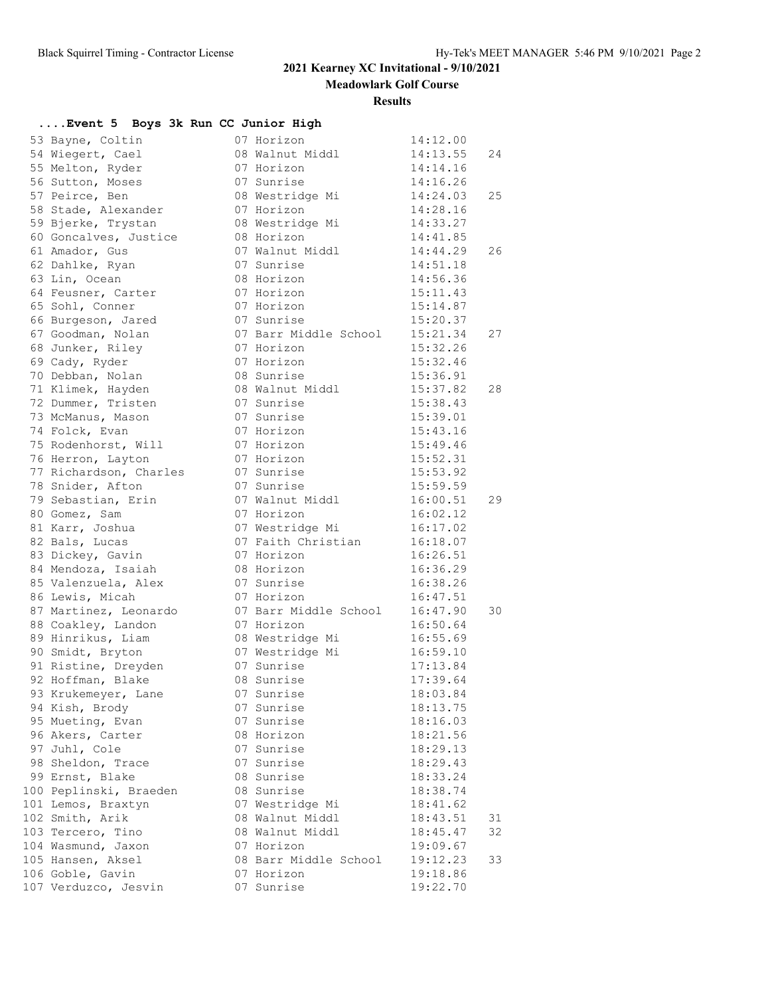**Meadowlark Golf Course**

#### **Results**

| Event 5 Boys 3k Run CC Junior High |                       |          |    |
|------------------------------------|-----------------------|----------|----|
| 53 Bayne, Coltin                   | 07 Horizon            | 14:12.00 |    |
| 54 Wiegert, Cael                   | 08 Walnut Middl       | 14:13.55 | 24 |
| 55 Melton, Ryder                   | 07 Horizon            | 14:14.16 |    |
| 56 Sutton, Moses                   | 07 Sunrise            | 14:16.26 |    |
| 57 Peirce, Ben                     | 08 Westridge Mi       | 14:24.03 | 25 |
| 58 Stade, Alexander                | 07 Horizon            | 14:28.16 |    |
| 59 Bjerke, Trystan                 | 08 Westridge Mi       | 14:33.27 |    |
| 60 Goncalves, Justice              | 08 Horizon            | 14:41.85 |    |
| 61 Amador, Gus                     | 07 Walnut Middl       | 14:44.29 | 26 |
| 62 Dahlke, Ryan                    | 07 Sunrise            | 14:51.18 |    |
| 63 Lin, Ocean                      | 08 Horizon            | 14:56.36 |    |
| 64 Feusner, Carter                 | 07 Horizon            | 15:11.43 |    |
| 65 Sohl, Conner                    | 07 Horizon            | 15:14.87 |    |
| 66 Burgeson, Jared                 | 07 Sunrise            | 15:20.37 |    |
| 67 Goodman, Nolan                  | 07 Barr Middle School | 15:21.34 | 27 |
| 68 Junker, Riley                   | 07 Horizon            | 15:32.26 |    |
| 69 Cady, Ryder                     | 07 Horizon            | 15:32.46 |    |
| 70 Debban, Nolan                   | 08 Sunrise            | 15:36.91 |    |
| 71 Klimek, Hayden                  | 08 Walnut Middl       | 15:37.82 | 28 |
| 72 Dummer, Tristen                 | 07 Sunrise            | 15:38.43 |    |
| 73 McManus, Mason                  | 07 Sunrise            | 15:39.01 |    |
| 74 Folck, Evan                     | 07 Horizon            | 15:43.16 |    |
| 75 Rodenhorst, Will                | 07 Horizon            | 15:49.46 |    |
| 76 Herron, Layton                  | 07 Horizon            | 15:52.31 |    |
| 77 Richardson, Charles             | 07 Sunrise            | 15:53.92 |    |
|                                    |                       |          |    |
| 78 Snider, Afton                   | 07 Sunrise            | 15:59.59 |    |
| 79 Sebastian, Erin                 | 07 Walnut Middl       | 16:00.51 | 29 |
| 80 Gomez, Sam                      | 07 Horizon            | 16:02.12 |    |
| 81 Karr, Joshua                    | 07 Westridge Mi       | 16:17.02 |    |
| 82 Bals, Lucas                     | 07 Faith Christian    | 16:18.07 |    |
| 83 Dickey, Gavin                   | 07 Horizon            | 16:26.51 |    |
| 84 Mendoza, Isaiah                 | 08 Horizon            | 16:36.29 |    |
| 85 Valenzuela, Alex                | 07 Sunrise            | 16:38.26 |    |
| 86 Lewis, Micah                    | 07 Horizon            | 16:47.51 |    |
| 87 Martinez, Leonardo              | 07 Barr Middle School | 16:47.90 | 30 |
| 88 Coakley, Landon                 | 07 Horizon            | 16:50.64 |    |
| 89 Hinrikus, Liam                  | 08 Westridge Mi       | 16:55.69 |    |
| 90 Smidt, Bryton                   | 07 Westridge Mi       | 16:59.10 |    |
| 91 Ristine, Dreyden                | 07 Sunrise            | 17:13.84 |    |
| 92 Hoffman, Blake                  | 08 Sunrise            | 17:39.64 |    |
| 93 Krukemeyer, Lane                | 07 Sunrise            | 18:03.84 |    |
| 94 Kish, Brody                     | 07 Sunrise            | 18:13.75 |    |
| 95 Mueting, Evan                   | 07 Sunrise            | 18:16.03 |    |
| 96 Akers, Carter                   | 08 Horizon            | 18:21.56 |    |
| 97 Juhl, Cole                      | 07 Sunrise            | 18:29.13 |    |
| 98 Sheldon, Trace                  | 07 Sunrise            | 18:29.43 |    |
| 99 Ernst, Blake                    | 08 Sunrise            | 18:33.24 |    |
| 100 Peplinski, Braeden             | 08 Sunrise            | 18:38.74 |    |
| 101 Lemos, Braxtyn                 | 07 Westridge Mi       | 18:41.62 |    |
| 102 Smith, Arik                    | 08 Walnut Middl       | 18:43.51 | 31 |
| 103 Tercero, Tino                  | 08 Walnut Middl       | 18:45.47 | 32 |
| 104 Wasmund, Jaxon                 | 07 Horizon            | 19:09.67 |    |
| 105 Hansen, Aksel                  | 08 Barr Middle School | 19:12.23 | 33 |
| 106 Goble, Gavin                   | 07 Horizon            | 19:18.86 |    |
| 107 Verduzco, Jesvin               | 07 Sunrise            | 19:22.70 |    |
|                                    |                       |          |    |